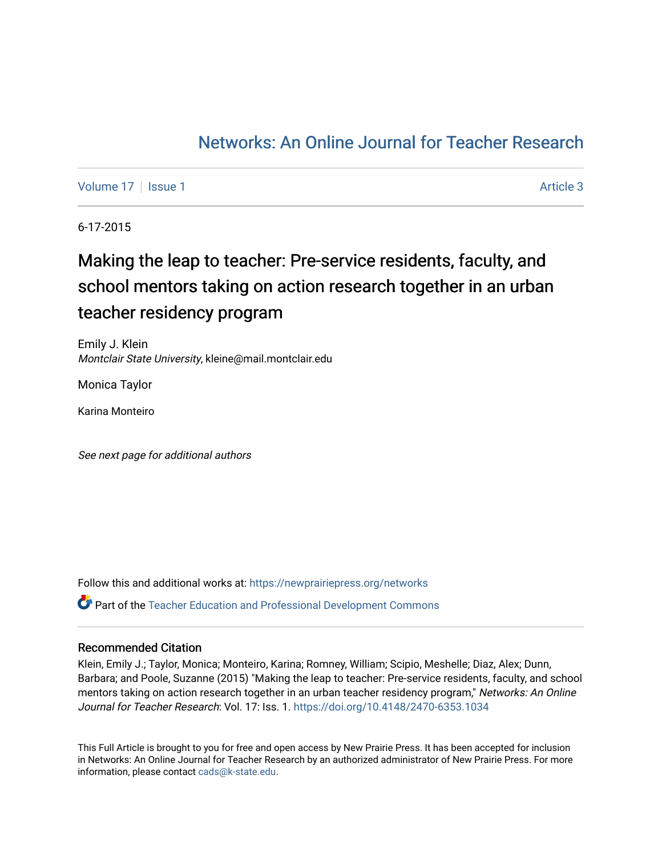# [Networks: An Online Journal for Teacher Research](https://newprairiepress.org/networks)

[Volume 17](https://newprairiepress.org/networks/vol17) | [Issue 1](https://newprairiepress.org/networks/vol17/iss1) Article 3

6-17-2015

# Making the leap to teacher: Pre-service residents, faculty, and school mentors taking on action research together in an urban teacher residency program

Emily J. Klein Montclair State University, kleine@mail.montclair.edu

Monica Taylor

Karina Monteiro

See next page for additional authors

Follow this and additional works at: [https://newprairiepress.org/networks](https://newprairiepress.org/networks?utm_source=newprairiepress.org%2Fnetworks%2Fvol17%2Fiss1%2F3&utm_medium=PDF&utm_campaign=PDFCoverPages) Part of the [Teacher Education and Professional Development Commons](http://network.bepress.com/hgg/discipline/803?utm_source=newprairiepress.org%2Fnetworks%2Fvol17%2Fiss1%2F3&utm_medium=PDF&utm_campaign=PDFCoverPages) 

#### Recommended Citation

Klein, Emily J.; Taylor, Monica; Monteiro, Karina; Romney, William; Scipio, Meshelle; Diaz, Alex; Dunn, Barbara; and Poole, Suzanne (2015) "Making the leap to teacher: Pre-service residents, faculty, and school mentors taking on action research together in an urban teacher residency program," Networks: An Online Journal for Teacher Research: Vol. 17: Iss. 1. <https://doi.org/10.4148/2470-6353.1034>

This Full Article is brought to you for free and open access by New Prairie Press. It has been accepted for inclusion in Networks: An Online Journal for Teacher Research by an authorized administrator of New Prairie Press. For more information, please contact [cads@k-state.edu](mailto:cads@k-state.edu).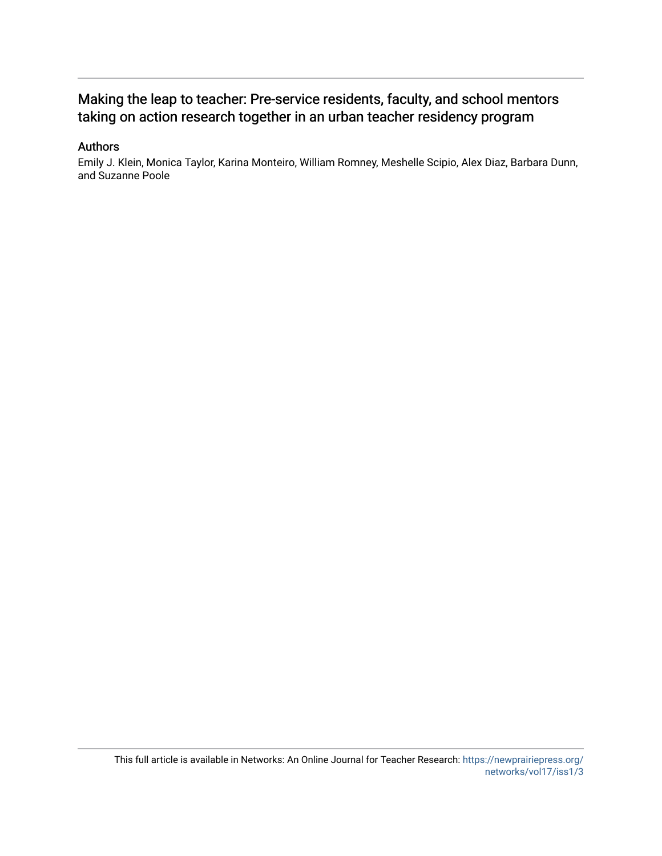## Making the leap to teacher: Pre-service residents, faculty, and school mentors taking on action research together in an urban teacher residency program

#### Authors

Emily J. Klein, Monica Taylor, Karina Monteiro, William Romney, Meshelle Scipio, Alex Diaz, Barbara Dunn, and Suzanne Poole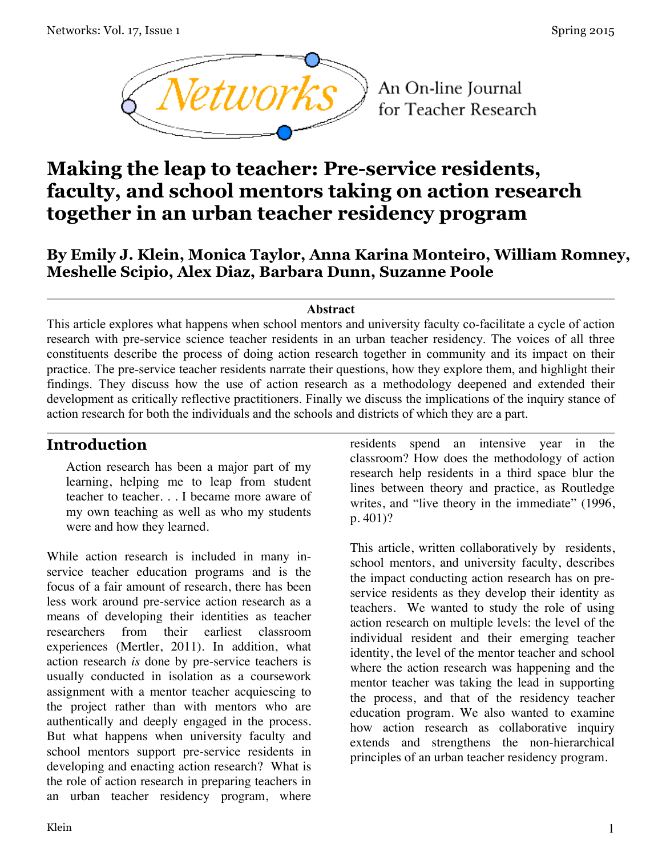

An On-line Journal for Teacher Research

# **Making the leap to teacher: Pre-service residents, faculty, and school mentors taking on action research together in an urban teacher residency program**

# **By Emily J. Klein, Monica Taylor, Anna Karina Monteiro, William Romney, Meshelle Scipio, Alex Diaz, Barbara Dunn, Suzanne Poole**

#### **Abstract**

This article explores what happens when school mentors and university faculty co-facilitate a cycle of action research with pre-service science teacher residents in an urban teacher residency. The voices of all three constituents describe the process of doing action research together in community and its impact on their practice. The pre-service teacher residents narrate their questions, how they explore them, and highlight their findings. They discuss how the use of action research as a methodology deepened and extended their development as critically reflective practitioners. Finally we discuss the implications of the inquiry stance of action research for both the individuals and the schools and districts of which they are a part.

# **Introduction**

Action research has been a major part of my learning, helping me to leap from student teacher to teacher. . . I became more aware of my own teaching as well as who my students were and how they learned.

While action research is included in many inservice teacher education programs and is the focus of a fair amount of research, there has been less work around pre-service action research as a means of developing their identities as teacher researchers from their earliest classroom experiences (Mertler, 2011). In addition, what action research *is* done by pre-service teachers is usually conducted in isolation as a coursework assignment with a mentor teacher acquiescing to the project rather than with mentors who are authentically and deeply engaged in the process. But what happens when university faculty and school mentors support pre-service residents in developing and enacting action research? What is the role of action research in preparing teachers in an urban teacher residency program, where

residents spend an intensive year in the classroom? How does the methodology of action research help residents in a third space blur the lines between theory and practice, as Routledge writes, and "live theory in the immediate" (1996, p. 401)?

This article, written collaboratively by residents, school mentors, and university faculty, describes the impact conducting action research has on preservice residents as they develop their identity as teachers. We wanted to study the role of using action research on multiple levels: the level of the individual resident and their emerging teacher identity, the level of the mentor teacher and school where the action research was happening and the mentor teacher was taking the lead in supporting the process, and that of the residency teacher education program. We also wanted to examine how action research as collaborative inquiry extends and strengthens the non-hierarchical principles of an urban teacher residency program.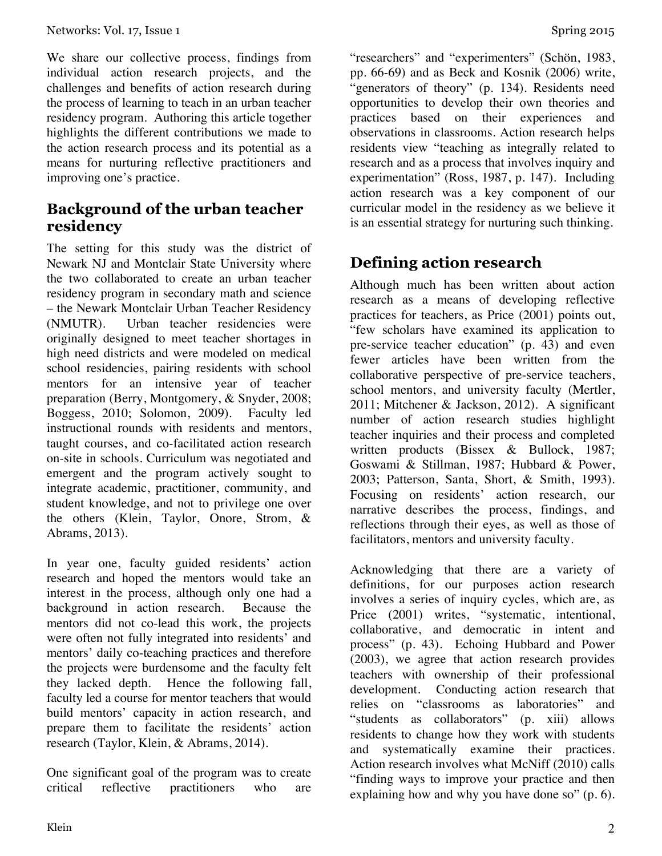We share our collective process, findings from individual action research projects, and the challenges and benefits of action research during the process of learning to teach in an urban teacher residency program. Authoring this article together highlights the different contributions we made to the action research process and its potential as a means for nurturing reflective practitioners and improving one's practice.

## **Background of the urban teacher residency**

The setting for this study was the district of Newark NJ and Montclair State University where the two collaborated to create an urban teacher residency program in secondary math and science – the Newark Montclair Urban Teacher Residency (NMUTR). Urban teacher residencies were originally designed to meet teacher shortages in high need districts and were modeled on medical school residencies, pairing residents with school mentors for an intensive year of teacher preparation (Berry, Montgomery, & Snyder, 2008; Boggess, 2010; Solomon, 2009). Faculty led instructional rounds with residents and mentors, taught courses, and co-facilitated action research on-site in schools. Curriculum was negotiated and emergent and the program actively sought to integrate academic, practitioner, community, and student knowledge, and not to privilege one over the others (Klein, Taylor, Onore, Strom, & Abrams, 2013).

In year one, faculty guided residents' action research and hoped the mentors would take an interest in the process, although only one had a background in action research. Because the mentors did not co-lead this work, the projects were often not fully integrated into residents' and mentors' daily co-teaching practices and therefore the projects were burdensome and the faculty felt they lacked depth. Hence the following fall, faculty led a course for mentor teachers that would build mentors' capacity in action research, and prepare them to facilitate the residents' action research (Taylor, Klein, & Abrams, 2014).

One significant goal of the program was to create critical reflective practitioners who are

"researchers" and "experimenters" (Schön, 1983, pp. 66-69) and as Beck and Kosnik (2006) write, "generators of theory" (p. 134). Residents need opportunities to develop their own theories and practices based on their experiences and observations in classrooms. Action research helps residents view "teaching as integrally related to research and as a process that involves inquiry and experimentation" (Ross, 1987, p. 147). Including action research was a key component of our curricular model in the residency as we believe it is an essential strategy for nurturing such thinking.

# **Defining action research**

Although much has been written about action research as a means of developing reflective practices for teachers, as Price (2001) points out, "few scholars have examined its application to pre-service teacher education" (p. 43) and even fewer articles have been written from the collaborative perspective of pre-service teachers, school mentors, and university faculty (Mertler, 2011; Mitchener & Jackson, 2012). A significant number of action research studies highlight teacher inquiries and their process and completed written products (Bissex & Bullock, 1987; Goswami & Stillman, 1987; Hubbard & Power, 2003; Patterson, Santa, Short, & Smith, 1993). Focusing on residents' action research, our narrative describes the process, findings, and reflections through their eyes, as well as those of facilitators, mentors and university faculty.

Acknowledging that there are a variety of definitions, for our purposes action research involves a series of inquiry cycles, which are, as Price (2001) writes, "systematic, intentional, collaborative, and democratic in intent and process" (p. 43). Echoing Hubbard and Power (2003), we agree that action research provides teachers with ownership of their professional development. Conducting action research that relies on "classrooms as laboratories" and "students as collaborators" (p. xiii) allows residents to change how they work with students and systematically examine their practices. Action research involves what McNiff (2010) calls "finding ways to improve your practice and then explaining how and why you have done so" (p. 6).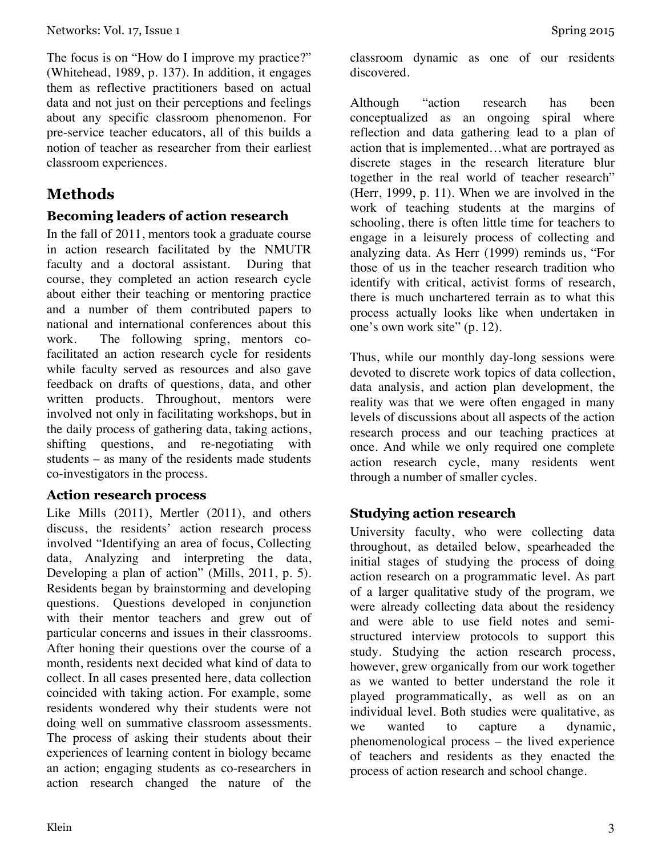The focus is on "How do I improve my practice?" (Whitehead, 1989, p. 137). In addition, it engages them as reflective practitioners based on actual data and not just on their perceptions and feelings about any specific classroom phenomenon. For pre-service teacher educators, all of this builds a notion of teacher as researcher from their earliest classroom experiences.

# **Methods**

### **Becoming leaders of action research**

In the fall of 2011, mentors took a graduate course in action research facilitated by the NMUTR faculty and a doctoral assistant. During that course, they completed an action research cycle about either their teaching or mentoring practice and a number of them contributed papers to national and international conferences about this work. The following spring, mentors cofacilitated an action research cycle for residents while faculty served as resources and also gave feedback on drafts of questions, data, and other written products. Throughout, mentors were involved not only in facilitating workshops, but in the daily process of gathering data, taking actions, shifting questions, and re-negotiating with students – as many of the residents made students co-investigators in the process.

#### **Action research process**

Like Mills (2011), Mertler (2011), and others discuss, the residents' action research process involved "Identifying an area of focus, Collecting data, Analyzing and interpreting the data, Developing a plan of action" (Mills, 2011, p. 5). Residents began by brainstorming and developing questions. Questions developed in conjunction with their mentor teachers and grew out of particular concerns and issues in their classrooms. After honing their questions over the course of a month, residents next decided what kind of data to collect. In all cases presented here, data collection coincided with taking action. For example, some residents wondered why their students were not doing well on summative classroom assessments. The process of asking their students about their experiences of learning content in biology became an action; engaging students as co-researchers in action research changed the nature of the

classroom dynamic as one of our residents discovered.

Although "action research has been conceptualized as an ongoing spiral where reflection and data gathering lead to a plan of action that is implemented…what are portrayed as discrete stages in the research literature blur together in the real world of teacher research" (Herr, 1999, p. 11). When we are involved in the work of teaching students at the margins of schooling, there is often little time for teachers to engage in a leisurely process of collecting and analyzing data. As Herr (1999) reminds us, "For those of us in the teacher research tradition who identify with critical, activist forms of research, there is much unchartered terrain as to what this process actually looks like when undertaken in one's own work site" (p. 12).

Thus, while our monthly day-long sessions were devoted to discrete work topics of data collection, data analysis, and action plan development, the reality was that we were often engaged in many levels of discussions about all aspects of the action research process and our teaching practices at once. And while we only required one complete action research cycle, many residents went through a number of smaller cycles.

### **Studying action research**

University faculty, who were collecting data throughout, as detailed below, spearheaded the initial stages of studying the process of doing action research on a programmatic level. As part of a larger qualitative study of the program, we were already collecting data about the residency and were able to use field notes and semistructured interview protocols to support this study. Studying the action research process, however, grew organically from our work together as we wanted to better understand the role it played programmatically, as well as on an individual level. Both studies were qualitative, as we wanted to capture a dynamic, phenomenological process – the lived experience of teachers and residents as they enacted the process of action research and school change.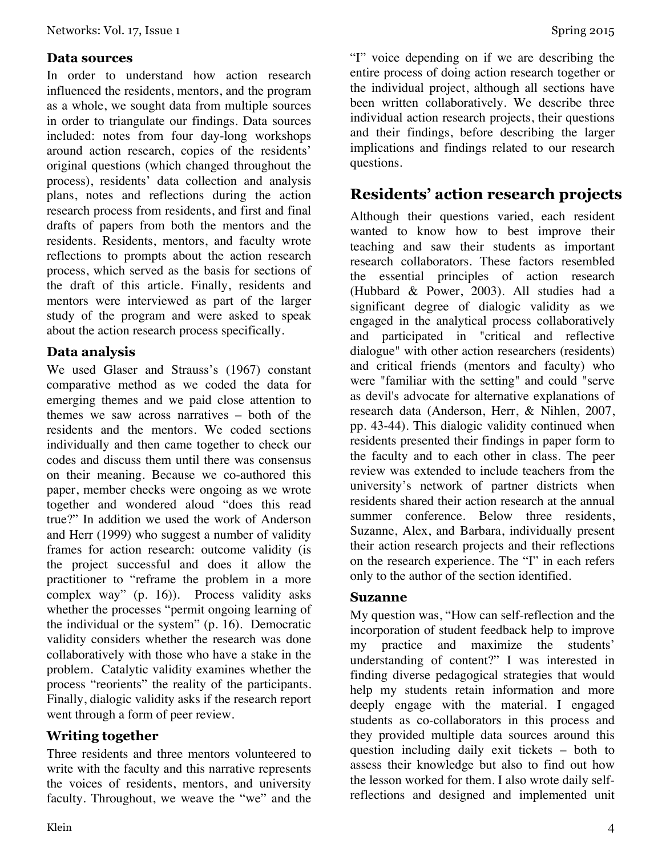#### **Data sources**

In order to understand how action research influenced the residents, mentors, and the program as a whole, we sought data from multiple sources in order to triangulate our findings. Data sources included: notes from four day-long workshops around action research, copies of the residents' original questions (which changed throughout the process), residents' data collection and analysis plans, notes and reflections during the action research process from residents, and first and final drafts of papers from both the mentors and the residents. Residents, mentors, and faculty wrote reflections to prompts about the action research process, which served as the basis for sections of the draft of this article. Finally, residents and mentors were interviewed as part of the larger study of the program and were asked to speak about the action research process specifically.

#### **Data analysis**

We used Glaser and Strauss's (1967) constant comparative method as we coded the data for emerging themes and we paid close attention to themes we saw across narratives – both of the residents and the mentors. We coded sections individually and then came together to check our codes and discuss them until there was consensus on their meaning. Because we co-authored this paper, member checks were ongoing as we wrote together and wondered aloud "does this read true?" In addition we used the work of Anderson and Herr (1999) who suggest a number of validity frames for action research: outcome validity (is the project successful and does it allow the practitioner to "reframe the problem in a more complex way" (p. 16)). Process validity asks whether the processes "permit ongoing learning of the individual or the system" (p. 16). Democratic validity considers whether the research was done collaboratively with those who have a stake in the problem. Catalytic validity examines whether the process "reorients" the reality of the participants. Finally, dialogic validity asks if the research report went through a form of peer review.

#### **Writing together**

Three residents and three mentors volunteered to write with the faculty and this narrative represents the voices of residents, mentors, and university faculty. Throughout, we weave the "we" and the "I" voice depending on if we are describing the entire process of doing action research together or the individual project, although all sections have been written collaboratively. We describe three individual action research projects, their questions and their findings, before describing the larger implications and findings related to our research questions.

# **Residents' action research projects**

Although their questions varied, each resident wanted to know how to best improve their teaching and saw their students as important research collaborators. These factors resembled the essential principles of action research (Hubbard & Power, 2003). All studies had a significant degree of dialogic validity as we engaged in the analytical process collaboratively and participated in "critical and reflective dialogue" with other action researchers (residents) and critical friends (mentors and faculty) who were "familiar with the setting" and could "serve as devil's advocate for alternative explanations of research data (Anderson, Herr, & Nihlen, 2007, pp. 43-44). This dialogic validity continued when residents presented their findings in paper form to the faculty and to each other in class. The peer review was extended to include teachers from the university's network of partner districts when residents shared their action research at the annual summer conference. Below three residents, Suzanne, Alex, and Barbara, individually present their action research projects and their reflections on the research experience. The "I" in each refers only to the author of the section identified.

### **Suzanne**

My question was, "How can self-reflection and the incorporation of student feedback help to improve my practice and maximize the students' understanding of content?" I was interested in finding diverse pedagogical strategies that would help my students retain information and more deeply engage with the material. I engaged students as co-collaborators in this process and they provided multiple data sources around this question including daily exit tickets – both to assess their knowledge but also to find out how the lesson worked for them. I also wrote daily selfreflections and designed and implemented unit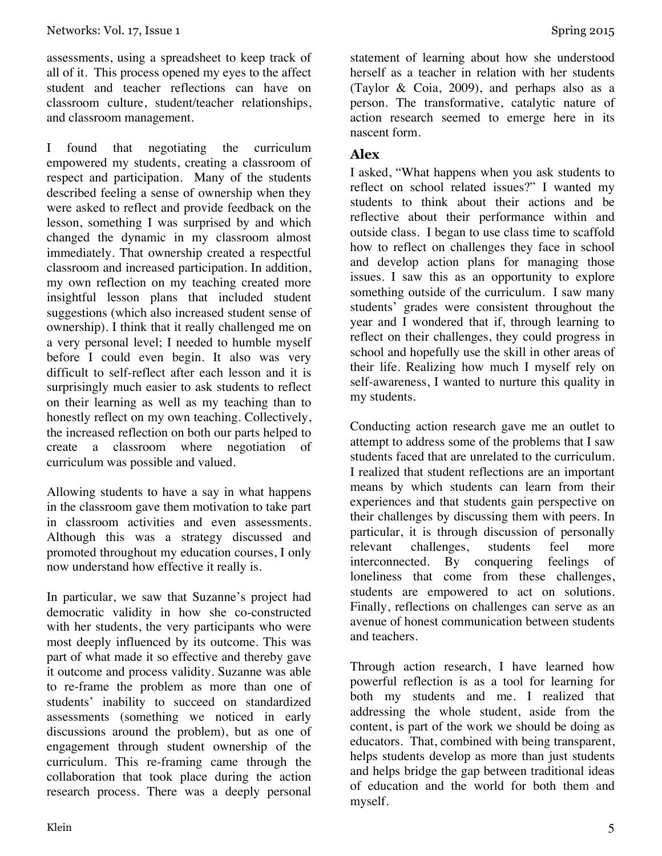assessments, using a spreadsheet to keep track of all of it. This process opened my eyes to the affect student and teacher reflections can have on classroom culture, student/teacher relationships, and classroom management.

I found that negotiating the curriculum empowered my students, creating a classroom of respect and participation. Many of the students described feeling a sense of ownership when they were asked to reflect and provide feedback on the lesson, something I was surprised by and which changed the dynamic in my classroom almost immediately. That ownership created a respectful classroom and increased participation. In addition, my own reflection on my teaching created more insightful lesson plans that included student suggestions (which also increased student sense of ownership). I think that it really challenged me on a very personal level; I needed to humble myself before I could even begin. It also was very difficult to self-reflect after each lesson and it is surprisingly much easier to ask students to reflect on their learning as well as my teaching than to honestly reflect on my own teaching. Collectively, the increased reflection on both our parts helped to create a classroom where negotiation of curriculum was possible and valued.

Allowing students to have a say in what happens in the classroom gave them motivation to take part in classroom activities and even assessments. Although this was a strategy discussed and promoted throughout my education courses, I only now understand how effective it really is.

In particular, we saw that Suzanne's project had democratic validity in how she co-constructed with her students, the very participants who were most deeply influenced by its outcome. This was part of what made it so effective and thereby gave it outcome and process validity. Suzanne was able to re-frame the problem as more than one of students' inability to succeed on standardized assessments (something we noticed in early discussions around the problem), but as one of engagement through student ownership of the curriculum. This re-framing came through the collaboration that took place during the action research process. There was a deeply personal

statement of learning about how she understood herself as a teacher in relation with her students (Taylor & Coia, 2009), and perhaps also as a person. The transformative, catalytic nature of action research seemed to emerge here in its nascent form.

### **Alex**

I asked, "What happens when you ask students to reflect on school related issues?" I wanted my students to think about their actions and be reflective about their performance within and outside class. I began to use class time to scaffold how to reflect on challenges they face in school and develop action plans for managing those issues. I saw this as an opportunity to explore something outside of the curriculum. I saw many students' grades were consistent throughout the year and I wondered that if, through learning to reflect on their challenges, they could progress in school and hopefully use the skill in other areas of their life. Realizing how much I myself rely on self-awareness, I wanted to nurture this quality in my students.

Conducting action research gave me an outlet to attempt to address some of the problems that I saw students faced that are unrelated to the curriculum. I realized that student reflections are an important means by which students can learn from their experiences and that students gain perspective on their challenges by discussing them with peers. In particular, it is through discussion of personally relevant challenges, students feel more interconnected. By conquering feelings of loneliness that come from these challenges, students are empowered to act on solutions. Finally, reflections on challenges can serve as an avenue of honest communication between students and teachers.

Through action research, I have learned how powerful reflection is as a tool for learning for both my students and me. I realized that addressing the whole student, aside from the content, is part of the work we should be doing as educators. That, combined with being transparent, helps students develop as more than just students and helps bridge the gap between traditional ideas of education and the world for both them and myself.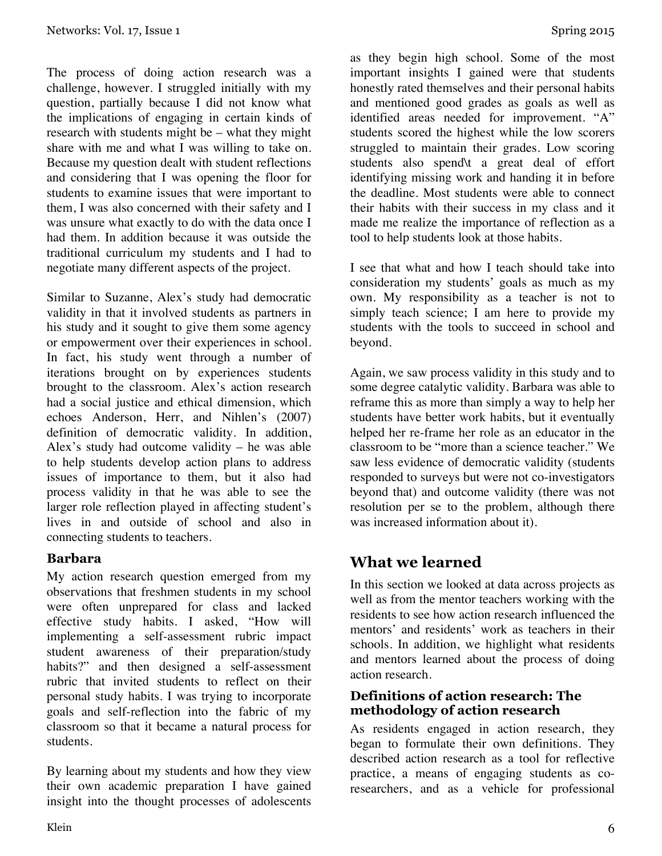The process of doing action research was a challenge, however. I struggled initially with my question, partially because I did not know what the implications of engaging in certain kinds of research with students might be – what they might share with me and what I was willing to take on. Because my question dealt with student reflections and considering that I was opening the floor for students to examine issues that were important to them, I was also concerned with their safety and I was unsure what exactly to do with the data once I had them. In addition because it was outside the traditional curriculum my students and I had to negotiate many different aspects of the project.

Similar to Suzanne, Alex's study had democratic validity in that it involved students as partners in his study and it sought to give them some agency or empowerment over their experiences in school. In fact, his study went through a number of iterations brought on by experiences students brought to the classroom. Alex's action research had a social justice and ethical dimension, which echoes Anderson, Herr, and Nihlen's (2007) definition of democratic validity. In addition, Alex's study had outcome validity – he was able to help students develop action plans to address issues of importance to them, but it also had process validity in that he was able to see the larger role reflection played in affecting student's lives in and outside of school and also in connecting students to teachers.

#### **Barbara**

My action research question emerged from my observations that freshmen students in my school were often unprepared for class and lacked effective study habits. I asked, "How will implementing a self-assessment rubric impact student awareness of their preparation/study habits?" and then designed a self-assessment rubric that invited students to reflect on their personal study habits. I was trying to incorporate goals and self-reflection into the fabric of my classroom so that it became a natural process for students.

By learning about my students and how they view their own academic preparation I have gained insight into the thought processes of adolescents as they begin high school. Some of the most important insights I gained were that students honestly rated themselves and their personal habits and mentioned good grades as goals as well as identified areas needed for improvement. "A" students scored the highest while the low scorers struggled to maintain their grades. Low scoring students also spend\t a great deal of effort identifying missing work and handing it in before the deadline. Most students were able to connect their habits with their success in my class and it made me realize the importance of reflection as a tool to help students look at those habits.

I see that what and how I teach should take into consideration my students' goals as much as my own. My responsibility as a teacher is not to simply teach science; I am here to provide my students with the tools to succeed in school and beyond.

Again, we saw process validity in this study and to some degree catalytic validity. Barbara was able to reframe this as more than simply a way to help her students have better work habits, but it eventually helped her re-frame her role as an educator in the classroom to be "more than a science teacher." We saw less evidence of democratic validity (students responded to surveys but were not co-investigators beyond that) and outcome validity (there was not resolution per se to the problem, although there was increased information about it).

# **What we learned**

In this section we looked at data across projects as well as from the mentor teachers working with the residents to see how action research influenced the mentors' and residents' work as teachers in their schools. In addition, we highlight what residents and mentors learned about the process of doing action research.

#### **Definitions of action research: The methodology of action research**

As residents engaged in action research, they began to formulate their own definitions. They described action research as a tool for reflective practice, a means of engaging students as coresearchers, and as a vehicle for professional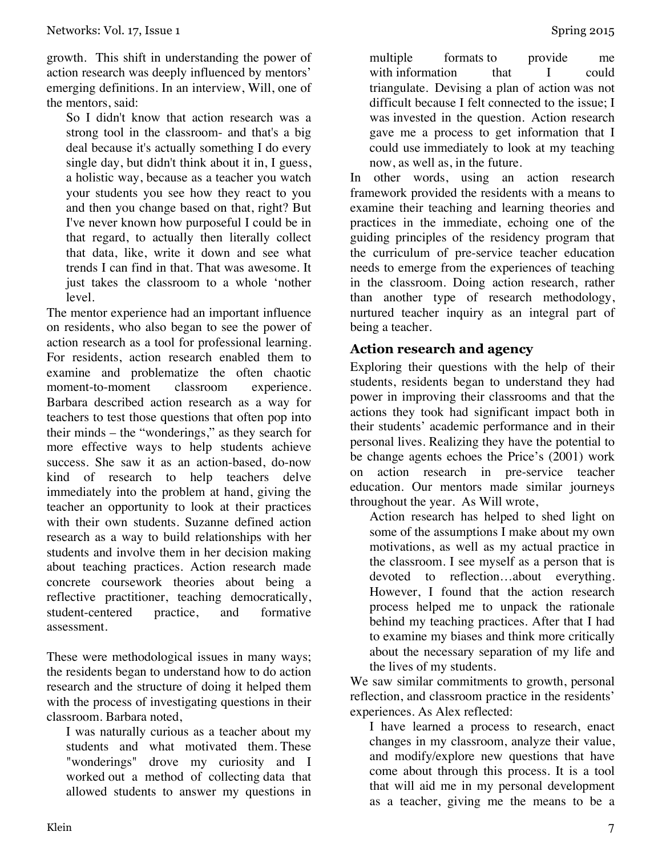growth. This shift in understanding the power of action research was deeply influenced by mentors' emerging definitions. In an interview, Will, one of the mentors, said:

So I didn't know that action research was a strong tool in the classroom- and that's a big deal because it's actually something I do every single day, but didn't think about it in, I guess, a holistic way, because as a teacher you watch your students you see how they react to you and then you change based on that, right? But I've never known how purposeful I could be in that regard, to actually then literally collect that data, like, write it down and see what trends I can find in that. That was awesome. It just takes the classroom to a whole 'nother level.

The mentor experience had an important influence on residents, who also began to see the power of action research as a tool for professional learning. For residents, action research enabled them to examine and problematize the often chaotic moment-to-moment classroom experience. Barbara described action research as a way for teachers to test those questions that often pop into their minds – the "wonderings," as they search for more effective ways to help students achieve success. She saw it as an action-based, do-now kind of research to help teachers delve immediately into the problem at hand, giving the teacher an opportunity to look at their practices with their own students. Suzanne defined action research as a way to build relationships with her students and involve them in her decision making about teaching practices. Action research made concrete coursework theories about being a reflective practitioner, teaching democratically, student-centered practice, and formative assessment.

These were methodological issues in many ways; the residents began to understand how to do action research and the structure of doing it helped them with the process of investigating questions in their classroom. Barbara noted,

I was naturally curious as a teacher about my students and what motivated them. These "wonderings" drove my curiosity and I worked out a method of collecting data that allowed students to answer my questions in

multiple formats to provide me with information that I could triangulate. Devising a plan of action was not difficult because I felt connected to the issue; I was invested in the question. Action research gave me a process to get information that I could use immediately to look at my teaching now, as well as, in the future.

In other words, using an action research framework provided the residents with a means to examine their teaching and learning theories and practices in the immediate, echoing one of the guiding principles of the residency program that the curriculum of pre-service teacher education needs to emerge from the experiences of teaching in the classroom. Doing action research, rather than another type of research methodology, nurtured teacher inquiry as an integral part of being a teacher.

#### **Action research and agency**

Exploring their questions with the help of their students, residents began to understand they had power in improving their classrooms and that the actions they took had significant impact both in their students' academic performance and in their personal lives. Realizing they have the potential to be change agents echoes the Price's (2001) work on action research in pre-service teacher education. Our mentors made similar journeys throughout the year. As Will wrote,

Action research has helped to shed light on some of the assumptions I make about my own motivations, as well as my actual practice in the classroom. I see myself as a person that is devoted to reflection…about everything. However, I found that the action research process helped me to unpack the rationale behind my teaching practices. After that I had to examine my biases and think more critically about the necessary separation of my life and the lives of my students.

We saw similar commitments to growth, personal reflection, and classroom practice in the residents' experiences. As Alex reflected:

I have learned a process to research, enact changes in my classroom, analyze their value, and modify/explore new questions that have come about through this process. It is a tool that will aid me in my personal development as a teacher, giving me the means to be a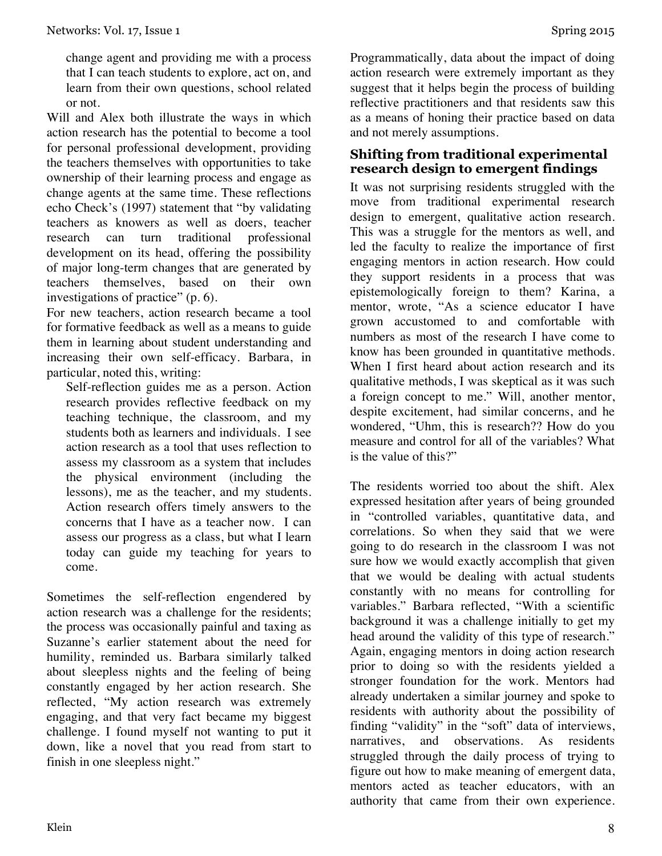change agent and providing me with a process that I can teach students to explore, act on, and learn from their own questions, school related or not.

Will and Alex both illustrate the ways in which action research has the potential to become a tool for personal professional development, providing the teachers themselves with opportunities to take ownership of their learning process and engage as change agents at the same time. These reflections echo Check's (1997) statement that "by validating teachers as knowers as well as doers, teacher research can turn traditional professional development on its head, offering the possibility of major long-term changes that are generated by teachers themselves, based on their own investigations of practice" (p. 6).

For new teachers, action research became a tool for formative feedback as well as a means to guide them in learning about student understanding and increasing their own self-efficacy. Barbara, in particular, noted this, writing:

Self-reflection guides me as a person. Action research provides reflective feedback on my teaching technique, the classroom, and my students both as learners and individuals. I see action research as a tool that uses reflection to assess my classroom as a system that includes the physical environment (including the lessons), me as the teacher, and my students. Action research offers timely answers to the concerns that I have as a teacher now. I can assess our progress as a class, but what I learn today can guide my teaching for years to come.

Sometimes the self-reflection engendered by action research was a challenge for the residents; the process was occasionally painful and taxing as Suzanne's earlier statement about the need for humility, reminded us. Barbara similarly talked about sleepless nights and the feeling of being constantly engaged by her action research. She reflected, "My action research was extremely engaging, and that very fact became my biggest challenge. I found myself not wanting to put it down, like a novel that you read from start to finish in one sleepless night."

Programmatically, data about the impact of doing action research were extremely important as they suggest that it helps begin the process of building reflective practitioners and that residents saw this as a means of honing their practice based on data and not merely assumptions.

#### **Shifting from traditional experimental research design to emergent findings**

It was not surprising residents struggled with the move from traditional experimental research design to emergent, qualitative action research. This was a struggle for the mentors as well, and led the faculty to realize the importance of first engaging mentors in action research. How could they support residents in a process that was epistemologically foreign to them? Karina, a mentor, wrote, "As a science educator I have grown accustomed to and comfortable with numbers as most of the research I have come to know has been grounded in quantitative methods. When I first heard about action research and its qualitative methods, I was skeptical as it was such a foreign concept to me." Will, another mentor, despite excitement, had similar concerns, and he wondered, "Uhm, this is research?? How do you measure and control for all of the variables? What is the value of this?"

The residents worried too about the shift. Alex expressed hesitation after years of being grounded in "controlled variables, quantitative data, and correlations. So when they said that we were going to do research in the classroom I was not sure how we would exactly accomplish that given that we would be dealing with actual students constantly with no means for controlling for variables." Barbara reflected, "With a scientific background it was a challenge initially to get my head around the validity of this type of research." Again, engaging mentors in doing action research prior to doing so with the residents yielded a stronger foundation for the work. Mentors had already undertaken a similar journey and spoke to residents with authority about the possibility of finding "validity" in the "soft" data of interviews, narratives, and observations. As residents struggled through the daily process of trying to figure out how to make meaning of emergent data, mentors acted as teacher educators, with an authority that came from their own experience.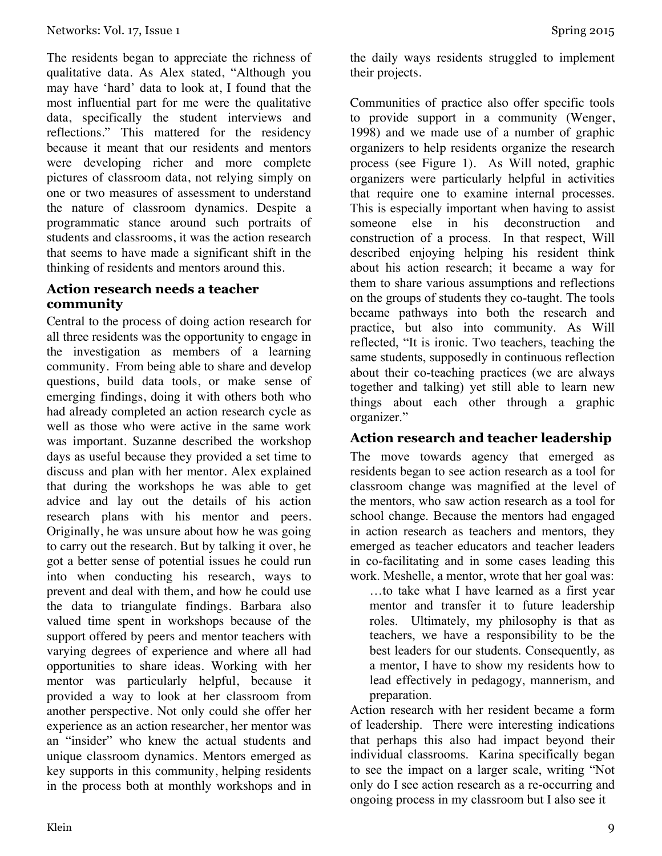The residents began to appreciate the richness of qualitative data. As Alex stated, "Although you may have 'hard' data to look at, I found that the most influential part for me were the qualitative data, specifically the student interviews and reflections." This mattered for the residency because it meant that our residents and mentors were developing richer and more complete pictures of classroom data, not relying simply on one or two measures of assessment to understand the nature of classroom dynamics. Despite a programmatic stance around such portraits of students and classrooms, it was the action research that seems to have made a significant shift in the thinking of residents and mentors around this.

#### **Action research needs a teacher community**

Central to the process of doing action research for all three residents was the opportunity to engage in the investigation as members of a learning community. From being able to share and develop questions, build data tools, or make sense of emerging findings, doing it with others both who had already completed an action research cycle as well as those who were active in the same work was important. Suzanne described the workshop days as useful because they provided a set time to discuss and plan with her mentor. Alex explained that during the workshops he was able to get advice and lay out the details of his action research plans with his mentor and peers. Originally, he was unsure about how he was going to carry out the research. But by talking it over, he got a better sense of potential issues he could run into when conducting his research, ways to prevent and deal with them, and how he could use the data to triangulate findings. Barbara also valued time spent in workshops because of the support offered by peers and mentor teachers with varying degrees of experience and where all had opportunities to share ideas. Working with her mentor was particularly helpful, because it provided a way to look at her classroom from another perspective. Not only could she offer her experience as an action researcher, her mentor was an "insider" who knew the actual students and unique classroom dynamics. Mentors emerged as key supports in this community, helping residents in the process both at monthly workshops and in

the daily ways residents struggled to implement their projects.

Communities of practice also offer specific tools to provide support in a community (Wenger, 1998) and we made use of a number of graphic organizers to help residents organize the research process (see Figure 1). As Will noted, graphic organizers were particularly helpful in activities that require one to examine internal processes. This is especially important when having to assist someone else in his deconstruction and construction of a process. In that respect, Will described enjoying helping his resident think about his action research; it became a way for them to share various assumptions and reflections on the groups of students they co-taught. The tools became pathways into both the research and practice, but also into community. As Will reflected, "It is ironic. Two teachers, teaching the same students, supposedly in continuous reflection about their co-teaching practices (we are always together and talking) yet still able to learn new things about each other through a graphic organizer."

### **Action research and teacher leadership**

The move towards agency that emerged as residents began to see action research as a tool for classroom change was magnified at the level of the mentors, who saw action research as a tool for school change. Because the mentors had engaged in action research as teachers and mentors, they emerged as teacher educators and teacher leaders in co-facilitating and in some cases leading this work. Meshelle, a mentor, wrote that her goal was:

…to take what I have learned as a first year mentor and transfer it to future leadership roles. Ultimately, my philosophy is that as teachers, we have a responsibility to be the best leaders for our students. Consequently, as a mentor, I have to show my residents how to lead effectively in pedagogy, mannerism, and preparation.

Action research with her resident became a form of leadership. There were interesting indications that perhaps this also had impact beyond their individual classrooms. Karina specifically began to see the impact on a larger scale, writing "Not only do I see action research as a re-occurring and ongoing process in my classroom but I also see it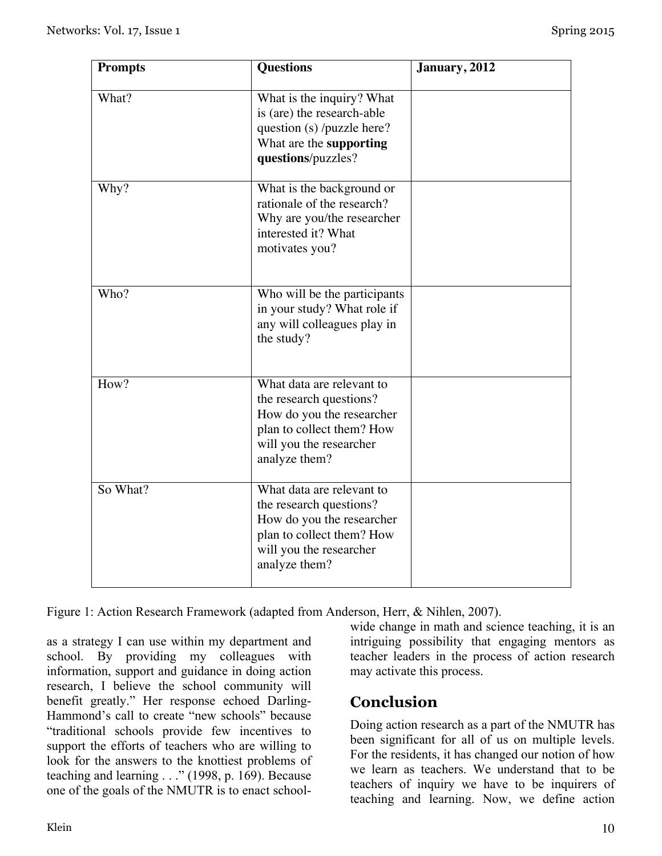| <b>Prompts</b> | <b>Questions</b>                                                                                                                                           | January, 2012 |
|----------------|------------------------------------------------------------------------------------------------------------------------------------------------------------|---------------|
| What?          | What is the inquiry? What<br>is (are) the research-able<br>question (s) /puzzle here?<br>What are the supporting<br>questions/puzzles?                     |               |
| Why?           | What is the background or<br>rationale of the research?<br>Why are you/the researcher<br>interested it? What<br>motivates you?                             |               |
| Who?           | Who will be the participants<br>in your study? What role if<br>any will colleagues play in<br>the study?                                                   |               |
| How?           | What data are relevant to<br>the research questions?<br>How do you the researcher<br>plan to collect them? How<br>will you the researcher<br>analyze them? |               |
| So What?       | What data are relevant to<br>the research questions?<br>How do you the researcher<br>plan to collect them? How<br>will you the researcher<br>analyze them? |               |

Figure 1: Action Research Framework (adapted from Anderson, Herr, & Nihlen, 2007).

as a strategy I can use within my department and school. By providing my colleagues with information, support and guidance in doing action research, I believe the school community will benefit greatly." Her response echoed Darling-Hammond's call to create "new schools" because "traditional schools provide few incentives to support the efforts of teachers who are willing to look for the answers to the knottiest problems of teaching and learning . . ." (1998, p. 169). Because one of the goals of the NMUTR is to enact schoolwide change in math and science teaching, it is an intriguing possibility that engaging mentors as teacher leaders in the process of action research may activate this process.

## **Conclusion**

Doing action research as a part of the NMUTR has been significant for all of us on multiple levels. For the residents, it has changed our notion of how we learn as teachers. We understand that to be teachers of inquiry we have to be inquirers of teaching and learning. Now, we define action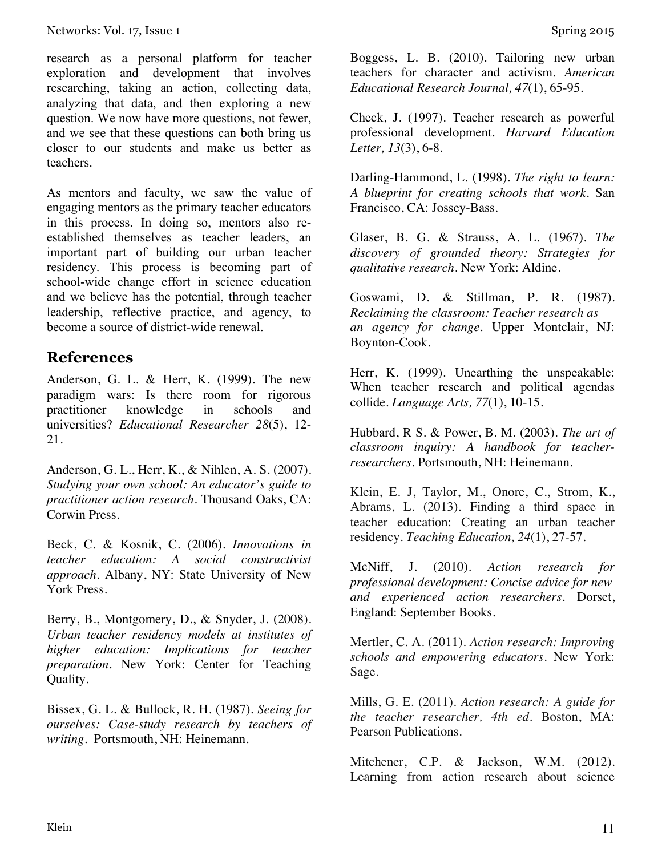research as a personal platform for teacher exploration and development that involves researching, taking an action, collecting data, analyzing that data, and then exploring a new question. We now have more questions, not fewer, and we see that these questions can both bring us closer to our students and make us better as teachers.

As mentors and faculty, we saw the value of engaging mentors as the primary teacher educators in this process. In doing so, mentors also reestablished themselves as teacher leaders, an important part of building our urban teacher residency. This process is becoming part of school-wide change effort in science education and we believe has the potential, through teacher leadership, reflective practice, and agency, to become a source of district-wide renewal.

### **References**

Anderson, G. L. & Herr, K. (1999). The new paradigm wars: Is there room for rigorous practitioner knowledge in schools and universities? *Educational Researcher 28*(5), 12- 21.

Anderson, G. L., Herr, K., & Nihlen, A. S. (2007). *Studying your own school: An educator's guide to practitioner action research.* Thousand Oaks, CA: Corwin Press.

Beck, C. & Kosnik, C. (2006). *Innovations in teacher education: A social constructivist approach.* Albany, NY: State University of New York Press.

Berry, B., Montgomery, D., & Snyder, J. (2008). *Urban teacher residency models at institutes of higher education: Implications for teacher preparation*. New York: Center for Teaching Quality.

Bissex, G. L. & Bullock, R. H. (1987). *Seeing for ourselves: Case-study research by teachers of writing.* Portsmouth, NH: Heinemann.

Boggess, L. B. (2010). Tailoring new urban teachers for character and activism. *American Educational Research Journal, 47*(1), 65-95.

Check, J. (1997). Teacher research as powerful professional development. *Harvard Education Letter, 13*(3), 6-8.

Darling-Hammond, L. (1998). *The right to learn: A blueprint for creating schools that work.* San Francisco, CA: Jossey-Bass.

Glaser, B. G. & Strauss, A. L. (1967). *The discovery of grounded theory: Strategies for qualitative research*. New York: Aldine.

Goswami, D. & Stillman, P. R. (1987). *Reclaiming the classroom: Teacher research as an agency for change.* Upper Montclair, NJ: Boynton-Cook.

Herr, K. (1999). Unearthing the unspeakable: When teacher research and political agendas collide. *Language Arts, 77*(1), 10-15.

Hubbard, R S. & Power, B. M. (2003). *The art of classroom inquiry: A handbook for teacherresearchers.* Portsmouth, NH: Heinemann.

Klein, E. J, Taylor, M., Onore, C., Strom, K., Abrams, L. (2013). Finding a third space in teacher education: Creating an urban teacher residency. *Teaching Education, 24*(1), 27-57.

McNiff, J. (2010). *Action research for professional development: Concise advice for new and experienced action researchers.* Dorset, England: September Books.

Mertler, C. A. (2011). *Action research: Improving schools and empowering educators*. New York: Sage.

Mills, G. E. (2011). *Action research: A guide for the teacher researcher, 4th ed.* Boston, MA: Pearson Publications.

Mitchener, C.P. & Jackson, W.M. (2012). Learning from action research about science